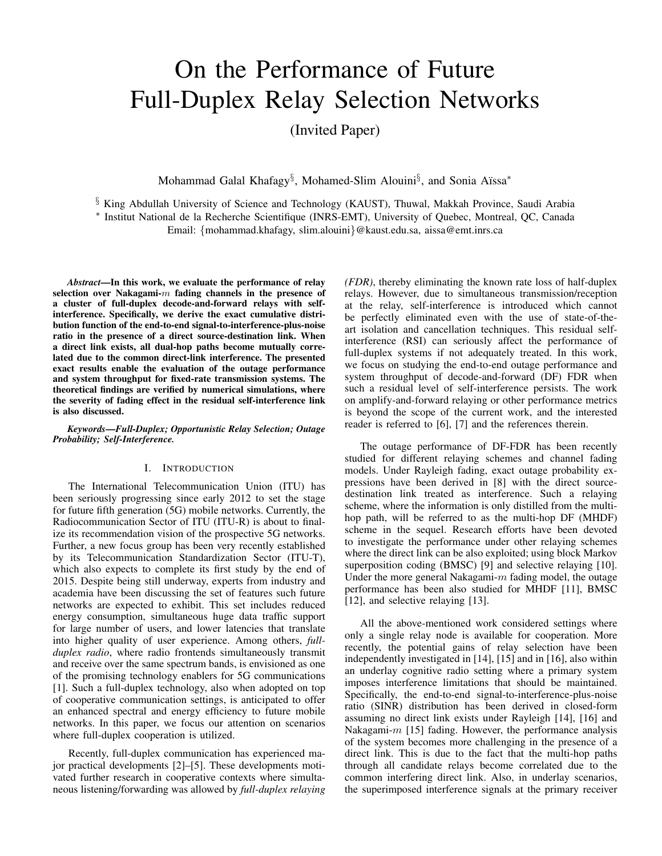# On the Performance of Future Full-Duplex Relay Selection Networks

(Invited Paper)

Mohammad Galal Khafagy<sup>§</sup>, Mohamed-Slim Alouini<sup>§</sup>, and Sonia Aïssa<sup>\*</sup>

§ King Abdullah University of Science and Technology (KAUST), Thuwal, Makkah Province, Saudi Arabia ∗ Institut National de la Recherche Scientifique (INRS-EMT), University of Quebec, Montreal, QC, Canada Email: {mohammad.khafagy, slim.alouini}@kaust.edu.sa, aissa@emt.inrs.ca

*Abstract*—In this work, we evaluate the performance of relay selection over Nakagami- $m$  fading channels in the presence of a cluster of full-duplex decode-and-forward relays with selfinterference. Specifically, we derive the exact cumulative distribution function of the end-to-end signal-to-interference-plus-noise ratio in the presence of a direct source-destination link. When a direct link exists, all dual-hop paths become mutually correlated due to the common direct-link interference. The presented exact results enable the evaluation of the outage performance and system throughput for fixed-rate transmission systems. The theoretical findings are verified by numerical simulations, where the severity of fading effect in the residual self-interference link is also discussed.

*Keywords*—*Full-Duplex; Opportunistic Relay Selection; Outage Probability; Self-Interference.*

## I. INTRODUCTION

The International Telecommunication Union (ITU) has been seriously progressing since early 2012 to set the stage for future fifth generation (5G) mobile networks. Currently, the Radiocommunication Sector of ITU (ITU-R) is about to finalize its recommendation vision of the prospective 5G networks. Further, a new focus group has been very recently established by its Telecommunication Standardization Sector (ITU-T), which also expects to complete its first study by the end of 2015. Despite being still underway, experts from industry and academia have been discussing the set of features such future networks are expected to exhibit. This set includes reduced energy consumption, simultaneous huge data traffic support for large number of users, and lower latencies that translate into higher quality of user experience. Among others, *fullduplex radio*, where radio frontends simultaneously transmit and receive over the same spectrum bands, is envisioned as one of the promising technology enablers for 5G communications [1]. Such a full-duplex technology, also when adopted on top of cooperative communication settings, is anticipated to offer an enhanced spectral and energy efficiency to future mobile networks. In this paper, we focus our attention on scenarios where full-duplex cooperation is utilized.

Recently, full-duplex communication has experienced major practical developments [2]–[5]. These developments motivated further research in cooperative contexts where simultaneous listening/forwarding was allowed by *full-duplex relaying* *(FDR)*, thereby eliminating the known rate loss of half-duplex relays. However, due to simultaneous transmission/reception at the relay, self-interference is introduced which cannot be perfectly eliminated even with the use of state-of-theart isolation and cancellation techniques. This residual selfinterference (RSI) can seriously affect the performance of full-duplex systems if not adequately treated. In this work, we focus on studying the end-to-end outage performance and system throughput of decode-and-forward (DF) FDR when such a residual level of self-interference persists. The work on amplify-and-forward relaying or other performance metrics is beyond the scope of the current work, and the interested reader is referred to [6], [7] and the references therein.

The outage performance of DF-FDR has been recently studied for different relaying schemes and channel fading models. Under Rayleigh fading, exact outage probability expressions have been derived in [8] with the direct sourcedestination link treated as interference. Such a relaying scheme, where the information is only distilled from the multihop path, will be referred to as the multi-hop DF (MHDF) scheme in the sequel. Research efforts have been devoted to investigate the performance under other relaying schemes where the direct link can be also exploited; using block Markov superposition coding (BMSC) [9] and selective relaying [10]. Under the more general Nakagami- $m$  fading model, the outage performance has been also studied for MHDF [11], BMSC [12], and selective relaying [13].

All the above-mentioned work considered settings where only a single relay node is available for cooperation. More recently, the potential gains of relay selection have been independently investigated in [14], [15] and in [16], also within an underlay cognitive radio setting where a primary system imposes interference limitations that should be maintained. Specifically, the end-to-end signal-to-interference-plus-noise ratio (SINR) distribution has been derived in closed-form assuming no direct link exists under Rayleigh [14], [16] and Nakagami- $m$  [15] fading. However, the performance analysis of the system becomes more challenging in the presence of a direct link. This is due to the fact that the multi-hop paths through all candidate relays become correlated due to the common interfering direct link. Also, in underlay scenarios, the superimposed interference signals at the primary receiver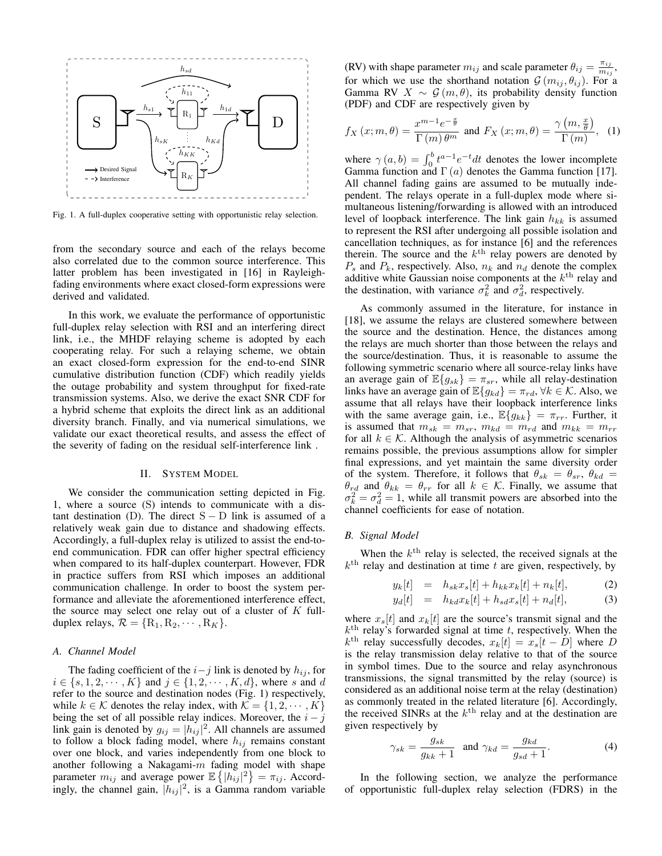

Fig. 1. A full-duplex cooperative setting with opportunistic relay selection.

from the secondary source and each of the relays become also correlated due to the common source interference. This latter problem has been investigated in [16] in Rayleighfading environments where exact closed-form expressions were derived and validated.

In this work, we evaluate the performance of opportunistic full-duplex relay selection with RSI and an interfering direct link, i.e., the MHDF relaying scheme is adopted by each cooperating relay. For such a relaying scheme, we obtain an exact closed-form expression for the end-to-end SINR cumulative distribution function (CDF) which readily yields the outage probability and system throughput for fixed-rate transmission systems. Also, we derive the exact SNR CDF for a hybrid scheme that exploits the direct link as an additional diversity branch. Finally, and via numerical simulations, we validate our exact theoretical results, and assess the effect of the severity of fading on the residual self-interference link .

## II. SYSTEM MODEL

We consider the communication setting depicted in Fig. 1, where a source (S) intends to communicate with a distant destination (D). The direct  $S - D$  link is assumed of a relatively weak gain due to distance and shadowing effects. Accordingly, a full-duplex relay is utilized to assist the end-toend communication. FDR can offer higher spectral efficiency when compared to its half-duplex counterpart. However, FDR in practice suffers from RSI which imposes an additional communication challenge. In order to boost the system performance and alleviate the aforementioned interference effect, the source may select one relay out of a cluster of  $K$  fullduplex relays,  $\mathcal{R} = \{R_1, R_2, \cdots, R_K\}.$ 

#### *A. Channel Model*

The fading coefficient of the  $i-j$  link is denoted by  $h_{ij}$ , for  $i \in \{s, 1, 2, \dots, K\}$  and  $j \in \{1, 2, \dots, K, d\}$ , where s and d refer to the source and destination nodes (Fig. 1) respectively, while  $k \in \mathcal{K}$  denotes the relay index, with  $\mathcal{K} = \{1, 2, \cdots, K\}$ being the set of all possible relay indices. Moreover, the  $i - j$ link gain is denoted by  $g_{ij} = |h_{ij}|^2$ . All channels are assumed to follow a block fading model, where  $h_{ij}$  remains constant over one block, and varies independently from one block to another following a Nakagami- $m$  fading model with shape parameter  $m_{ij}$  and average power  $\mathbb{E}\left\{|h_{ij}|^2\right\} = \pi_{ij}$ . Accordingly, the channel gain,  $|h_{ij}|^2$ , is a Gamma random variable

(RV) with shape parameter  $m_{ij}$  and scale parameter  $\theta_{ij} = \frac{\pi_{ij}}{m_{ij}}$  $\frac{\pi_{ij}}{m_{ij}},$ for which we use the shorthand notation  $G(m_{ij}, \theta_{ij})$ . For a Gamma RV  $X \sim \mathcal{G}(m, \theta)$ , its probability density function (PDF) and CDF are respectively given by

$$
f_X(x; m, \theta) = \frac{x^{m-1}e^{-\frac{x}{\theta}}}{\Gamma(m)\theta^m} \text{ and } F_X(x; m, \theta) = \frac{\gamma(m, \frac{x}{\theta})}{\Gamma(m)}, \quad (1)
$$

where  $\gamma(a, b) = \int_0^b t^{a-1} e^{-t} dt$  denotes the lower incomplete Gamma function and  $\Gamma(a)$  denotes the Gamma function [17]. All channel fading gains are assumed to be mutually independent. The relays operate in a full-duplex mode where simultaneous listening/forwarding is allowed with an introduced level of loopback interference. The link gain  $h_{kk}$  is assumed to represent the RSI after undergoing all possible isolation and cancellation techniques, as for instance [6] and the references therein. The source and the  $k<sup>th</sup>$  relay powers are denoted by  $P_s$  and  $P_k$ , respectively. Also,  $n_k$  and  $n_d$  denote the complex additive white Gaussian noise components at the  $k<sup>th</sup>$  relay and the destination, with variance  $\sigma_k^2$  and  $\sigma_d^2$ , respectively.

As commonly assumed in the literature, for instance in [18], we assume the relays are clustered somewhere between the source and the destination. Hence, the distances among the relays are much shorter than those between the relays and the source/destination. Thus, it is reasonable to assume the following symmetric scenario where all source-relay links have an average gain of  $\mathbb{E}\{g_{sk}\} = \pi_{sr}$ , while all relay-destination links have an average gain of  $\mathbb{E}\{g_{kd}\} = \pi_{rd}, \forall k \in \mathcal{K}$ . Also, we assume that all relays have their loopback interference links with the same average gain, i.e.,  $\mathbb{E}\{g_{kk}\} = \pi_{rr}$ . Further, it is assumed that  $m_{sk} = m_{sr}$ ,  $m_{kd} = m_{rd}$  and  $m_{kk} = m_{rr}$ for all  $k \in \mathcal{K}$ . Although the analysis of asymmetric scenarios remains possible, the previous assumptions allow for simpler final expressions, and yet maintain the same diversity order of the system. Therefore, it follows that  $\theta_{sk} = \theta_{sr}, \theta_{kd} =$  $\theta_{rd}$  and  $\theta_{kk} = \theta_{rr}$  for all  $k \in \mathcal{K}$ . Finally, we assume that  $\sigma_k^2 = \sigma_d^2 = 1$ , while all transmit powers are absorbed into the channel coefficients for ease of notation.

## *B. Signal Model*

When the  $k<sup>th</sup>$  relay is selected, the received signals at the  $k<sup>th</sup>$  relay and destination at time t are given, respectively, by

$$
y_k[t] = h_{sk}x_s[t] + h_{kk}x_k[t] + n_k[t],
$$
 (2)

$$
y_d[t] = h_{kd} x_k[t] + h_{sd} x_s[t] + n_d[t], \tag{3}
$$

where  $x_s[t]$  and  $x_k[t]$  are the source's transmit signal and the  $k<sup>th</sup>$  relay's forwarded signal at time t, respectively. When the  $k^{\text{th}}$  relay successfully decodes,  $x_k[t] = x_s[t - D]$  where D is the relay transmission delay relative to that of the source in symbol times. Due to the source and relay asynchronous transmissions, the signal transmitted by the relay (source) is considered as an additional noise term at the relay (destination) as commonly treated in the related literature [6]. Accordingly, the received SINRs at the  $k^{\text{th}}$  relay and at the destination are given respectively by

$$
\gamma_{sk} = \frac{g_{sk}}{g_{kk} + 1} \quad \text{and} \quad \gamma_{kd} = \frac{g_{kd}}{g_{sd} + 1}.
$$
 (4)

In the following section, we analyze the performance of opportunistic full-duplex relay selection (FDRS) in the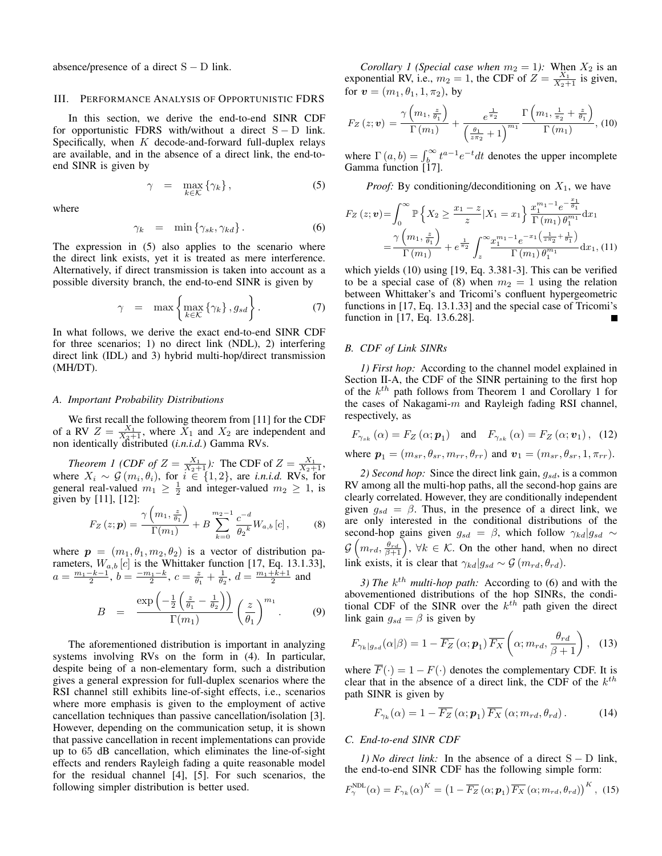absence/presence of a direct  $S - D$  link.

#### III. PERFORMANCE ANALYSIS OF OPPORTUNISTIC FDRS

In this section, we derive the end-to-end SINR CDF for opportunistic FDRS with/without a direct  $S - D$  link. Specifically, when  $K$  decode-and-forward full-duplex relays are available, and in the absence of a direct link, the end-toend SINR is given by

$$
\gamma = \max_{k \in \mathcal{K}} \{ \gamma_k \}, \tag{5}
$$

where

$$
\gamma_k = \min \{ \gamma_{sk}, \gamma_{kd} \} \,. \tag{6}
$$

The expression in (5) also applies to the scenario where the direct link exists, yet it is treated as mere interference. Alternatively, if direct transmission is taken into account as a possible diversity branch, the end-to-end SINR is given by

$$
\gamma = \max \left\{ \max_{k \in \mathcal{K}} \left\{ \gamma_k \right\}, g_{sd} \right\}.
$$
 (7)

In what follows, we derive the exact end-to-end SINR CDF for three scenarios; 1) no direct link (NDL), 2) interfering direct link (IDL) and 3) hybrid multi-hop/direct transmission (MH/DT).

## *A. Important Probability Distributions*

We first recall the following theorem from [11] for the CDF of a RV  $Z = \frac{X_1}{X_2+1}$ , where  $X_1$  and  $X_2$  are independent and non identically distributed (*i.n.i.d.*) Gamma RVs.

*Theorem 1 (CDF of*  $Z = \frac{X_1}{X_2+1}$ ): The CDF of  $Z = \frac{X_1}{X_2+1}$ , where  $X_i \sim \mathcal{G}(m_i, \theta_i)$ , for  $i \in \{1, 2\}$ , are *i.n.i.d.* RVs, for general real-valued  $m_1 \geq \frac{1}{2}$  and integer-valued  $m_2 \geq 1$ , is given by [11], [12]:

$$
F_Z(z; \mathbf{p}) = \frac{\gamma\left(m_1, \frac{z}{\theta_1}\right)}{\Gamma(m_1)} + B \sum_{k=0}^{m_2 - 1} \frac{c^{-d}}{\theta_2^k} W_{a,b} [c], \quad (8)
$$

where  $p = (m_1, \theta_1, m_2, \theta_2)$  is a vector of distribution parameters,  $W_{a,b}$  [*c*] is the Whittaker function [17, Eq. 13.1.33],  $a = \frac{m_1 - k - 1}{2}$ ,  $b = \frac{-m_1 - k}{2}$ ,  $c = \frac{z}{\theta_1} + \frac{1}{\theta_2}$ ,  $d = \frac{m_1 + k + 1}{2}$  and

$$
B = \frac{\exp\left(-\frac{1}{2}\left(\frac{z}{\theta_1} - \frac{1}{\theta_2}\right)\right)}{\Gamma(m_1)}\left(\frac{z}{\theta_1}\right)^{m_1}.
$$
 (9)

The aforementioned distribution is important in analyzing systems involving RVs on the form in (4). In particular, despite being of a non-elementary form, such a distribution gives a general expression for full-duplex scenarios where the RSI channel still exhibits line-of-sight effects, i.e., scenarios where more emphasis is given to the employment of active cancellation techniques than passive cancellation/isolation [3]. However, depending on the communication setup, it is shown that passive cancellation in recent implementations can provide up to 65 dB cancellation, which eliminates the line-of-sight effects and renders Rayleigh fading a quite reasonable model for the residual channel [4], [5]. For such scenarios, the following simpler distribution is better used.

*Corollary 1 (Special case when*  $m_2 = 1$ ): When  $X_2$  is an exponential RV, i.e.,  $m_2 = 1$ , the CDF of  $Z = \frac{X_1}{X_2 + 1}$  is given, for  $v = (m_1, \theta_1, 1, \pi_2)$ , by

$$
F_Z(z; \boldsymbol{v}) = \frac{\gamma\left(m_1, \frac{z}{\theta_1}\right)}{\Gamma\left(m_1\right)} + \frac{e^{\frac{1}{\pi_2}}}{\left(\frac{\theta_1}{z\pi_2} + 1\right)^{m_1}} \frac{\Gamma\left(m_1, \frac{1}{\pi_2} + \frac{z}{\theta_1}\right)}{\Gamma\left(m_1\right)}, \text{ (10)}
$$

where  $\Gamma(a, b) = \int_{b}^{\infty} t^{a-1} e^{-t} dt$  denotes the upper incomplete Gamma function [17].

*Proof:* By conditioning/deconditioning on  $X_1$ , we have

$$
F_Z(z; \mathbf{v}) = \int_0^\infty \mathbb{P}\left\{X_2 \ge \frac{x_1 - z}{z} | X_1 = x_1\right\} \frac{x_1^{m_1 - 1} e^{-\frac{x_1}{\theta_1}}}{\Gamma(m_1) \theta_1^{m_1}} dx_1
$$
  
=  $\frac{\gamma\left(m_1, \frac{z}{\theta_1}\right)}{\Gamma(m_1)} + e^{\frac{1}{\pi_2}} \int_z^\infty \frac{x_1^{m_1 - 1} e^{-x_1\left(\frac{1}{x\theta_2} + \frac{1}{\theta_1}\right)}}{\Gamma(m_1) \theta_1^{m_1}} dx_1$ , (11)

which yields (10) using [19, Eq. 3.381-3]. This can be verified to be a special case of (8) when  $m_2 = 1$  using the relation between Whittaker's and Tricomi's confluent hypergeometric functions in [17, Eq. 13.1.33] and the special case of Tricomi's function in [17, Eq. 13.6.28]. П

#### *B. CDF of Link SINRs*

*1) First hop:* According to the channel model explained in Section II-A, the CDF of the SINR pertaining to the first hop of the  $k^{th}$  path follows from Theorem 1 and Corollary 1 for the cases of Nakagami- $m$  and Rayleigh fading RSI channel, respectively, as

$$
F_{\gamma_{sk}}(\alpha) = F_Z(\alpha; \mathbf{p}_1) \quad \text{and} \quad F_{\gamma_{sk}}(\alpha) = F_Z(\alpha; \mathbf{v}_1), \tag{12}
$$
  
where  $\mathbf{p}_1 = (m_{sr}, \theta_{sr}, m_{rr}, \theta_{rr})$  and  $\mathbf{v}_1 = (m_{sr}, \theta_{sr}, 1, \pi_{rr}).$ 

*2) Second hop:* Since the direct link gain,  $q_{sd}$ , is a common RV among all the multi-hop paths, all the second-hop gains are clearly correlated. However, they are conditionally independent given  $g_{sd} = \beta$ . Thus, in the presence of a direct link, we are only interested in the conditional distributions of the second-hop gains given  $g_{sd} = \beta$ , which follow  $\gamma_{kd}|g_{sd} \sim$  $\mathcal{G}\left(m_{rd}, \frac{\theta_{rd}}{\beta+1}\right), \, \forall k \in \mathcal{K}.$  On the other hand, when no direct link exists, it is clear that  $\gamma_{kd}|g_{sd} \sim \mathcal{G}(m_{rd}, \theta_{rd})$ .

3) The  $k^{th}$  multi-hop path: According to (6) and with the abovementioned distributions of the hop SINRs, the conditional CDF of the SINR over the  $k^{th}$  path given the direct link gain  $g_{sd} = \beta$  is given by

$$
F_{\gamma_k|g_{sd}}(\alpha|\beta) = 1 - \overline{F_Z}\left(\alpha; \mathbf{p}_1\right) \overline{F_X}\left(\alpha; m_{rd}, \frac{\theta_{rd}}{\beta+1}\right), \quad (13)
$$

where  $\overline{F}(\cdot) = 1 - F(\cdot)$  denotes the complementary CDF. It is clear that in the absence of a direct link, the CDF of the  $k^{th}$ path SINR is given by

$$
F_{\gamma_k}(\alpha) = 1 - \overline{F_Z}(\alpha; \mathbf{p}_1) \overline{F_X}(\alpha; m_{rd}, \theta_{rd}). \tag{14}
$$

## *C. End-to-end SINR CDF*

*1) No direct link:* In the absence of a direct S − D link, the end-to-end SINR CDF has the following simple form:

$$
F_{\gamma}^{\text{NDL}}(\alpha) = F_{\gamma_k}(\alpha)^K = \left(1 - \overline{F_Z}\left(\alpha; \mathbf{p}_1\right) \overline{F_X}\left(\alpha; m_{rd}, \theta_{rd}\right)\right)^K, (15)
$$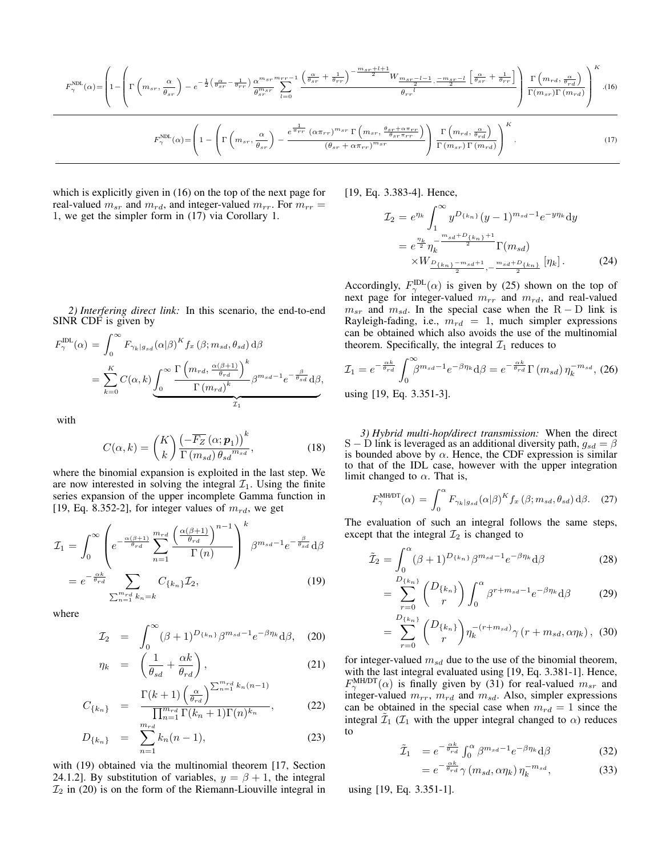$$
F_{\gamma}^{\text{NDL}}(\alpha) = \left(1 - \left(\Gamma\left(m_{sr}, \frac{\alpha}{\theta_{sr}}\right) - e^{-\frac{1}{2}\left(\frac{\alpha}{\theta_{sr}} - \frac{1}{\theta_{rr}}\right)}\frac{\alpha^{m_{sr}}^{m_{sr}}\sum_{l=0}^{m_{sr}+1} \left(\frac{\alpha}{\theta_{sr}} + \frac{1}{\theta_{rr}}\right)^{-\frac{m_{sr}+l+1}{2}} W_{\frac{m_{sr}-l-1}{2}, -\frac{m_{sr}-l}{2}}\left[\frac{\alpha}{\theta_{sr}} + \frac{1}{\theta_{rr}}\right]}{\theta_{rr}^{l}}\right)\frac{\Gamma\left(m_{rd}, \frac{\alpha}{\theta_{rd}}\right)}{\Gamma(m_{sr})\Gamma(m_{rd})}\right)^{K}.
$$
\n
$$
F_{\gamma}^{\text{NDL}}(\alpha) = \left(1 - \left(\Gamma\left(m_{sr}, \frac{\alpha}{\theta_{sr}}\right) - \frac{e^{\frac{1}{\pi_{rr}}}\left(\alpha\pi_{rr}\right)^{m_{sr}}\Gamma\left(m_{sr}, \frac{\theta_{sr} + \alpha\pi_{rr}}{\theta_{sr}\pi_{rr}}\right)}{\left(\theta_{sr} + \alpha\pi_{rr}\right)^{m_{sr}}}\right)\frac{\Gamma\left(m_{rd}, \frac{\alpha}{\theta_{rd}}\right)}{\Gamma(m_{sr})\Gamma(m_{rd})}\right)^{K}.
$$
\n
$$
(17)
$$

which is explicitly given in (16) on the top of the next page for real-valued  $m_{sr}$  and  $m_{rd}$ , and integer-valued  $m_{rr}$ . For  $m_{rr}$  = 1, we get the simpler form in (17) via Corollary 1.

*2) Interfering direct link:* In this scenario, the end-to-end SINR CDF is given by

$$
F_{\gamma}^{\text{IDL}}(\alpha) = \int_{0}^{\infty} F_{\gamma_{k}|g_{sd}}(\alpha|\beta)^{K} f_{x}(\beta; m_{sd}, \theta_{sd}) d\beta
$$
  
= 
$$
\sum_{k=0}^{K} C(\alpha, k) \underbrace{\int_{0}^{\infty} \frac{\Gamma\left(m_{rd}, \frac{\alpha(\beta+1)}{\theta_{rd}}\right)^{k}}{\Gamma\left(m_{rd}\right)^{k}} \beta^{m_{sd}-1} e^{-\frac{\beta}{\theta_{sd}} d\beta},
$$

with

$$
C(\alpha, k) = {K \choose k} \frac{\left(-\overline{F_Z}\left(\alpha; \mathbf{p}_1\right)\right)^k}{\Gamma\left(m_{sd}\right) \theta_{sd}^{m_{sd}}},\tag{18}
$$

where the binomial expansion is exploited in the last step. We are now interested in solving the integral  $\mathcal{I}_1$ . Using the finite series expansion of the upper incomplete Gamma function in [19, Eq. 8.352-2], for integer values of  $m_{rd}$ , we get

$$
\mathcal{I}_{1} = \int_{0}^{\infty} \left( e^{-\frac{\alpha(\beta+1)}{\theta_{rd}}} \sum_{n=1}^{m_{rd}} \frac{\left(\frac{\alpha(\beta+1)}{\theta_{rd}}\right)^{n-1}}{\Gamma(n)} \right)^{k} \beta^{m_{sd}-1} e^{-\frac{\beta}{\theta_{sd}}} d\beta
$$

$$
= e^{-\frac{\alpha k}{\theta_{rd}}} \sum_{\sum_{n=1}^{m_{rd}} k_{n}=k} C_{\{k_{n}\}} \mathcal{I}_{2}, \qquad (19)
$$

where

$$
\mathcal{I}_2 = \int_0^\infty (\beta + 1)^{D_{\{k_n\}}}\beta^{m_{sd}-1}e^{-\beta\eta_k}d\beta, \quad (20)
$$

$$
\eta_k = \left(\frac{1}{\theta_{sd}} + \frac{\alpha k}{\theta_{rd}}\right),\tag{21}
$$

$$
C_{\{k_n\}} = \frac{\Gamma(k+1) \left(\frac{\alpha}{\theta_{rd}}\right)^{\sum_{n=1}^{m_{rd}} k_n (n-1)}}{\prod_{n=1}^{m_{rd}} \Gamma(k_n+1) \Gamma(n)^{k_n}},
$$
(22)

$$
D_{\{k_n\}} = \sum_{n=1}^{m_{rd}} k_n(n-1), \qquad (23)
$$

with (19) obtained via the multinomial theorem [17, Section 24.1.2]. By substitution of variables,  $y = \beta + 1$ , the integral  $\mathcal{I}_2$  in (20) is on the form of the Riemann-Liouville integral in

[19, Eq. 3.383-4]. Hence,

limit changed to  $\alpha$ . That is,

$$
\mathcal{I}_2 = e^{\eta_k} \int_1^{\infty} y^{D_{\{k_n\}}}(y-1)^{m_{sd}-1} e^{-y\eta_k} dy
$$
  
=  $e^{\frac{\eta_k}{2}} \eta_k^{-\frac{m_{sd}+D_{\{k_n\}}+1}{2}} \Gamma(m_{sd})$   

$$
\times W_{\frac{D_{\{k_n\}}-m_{sd}+1}{2}, -\frac{m_{sd}+D_{\{k_n\}}}{2}} [\eta_k].
$$
 (24)

Accordingly,  $F_{\gamma}^{\text{IDL}}(\alpha)$  is given by (25) shown on the top of next page for integer-valued  $m_{rr}$  and  $m_{rd}$ , and real-valued  $m_{sr}$  and  $m_{sd}$ . In the special case when the R − D link is Rayleigh-fading, i.e.,  $m_{rd} = 1$ , much simpler expressions can be obtained which also avoids the use of the multinomial theorem. Specifically, the integral  $\mathcal{I}_1$  reduces to

$$
\mathcal{I}_1 = e^{-\frac{\alpha k}{\theta_{rd}}} \int_0^\infty \beta^{m_{sd}-1} e^{-\beta \eta_k} d\beta = e^{-\frac{\alpha k}{\theta_{rd}}} \Gamma(m_{sd}) \eta_k^{-m_{sd}}, (26)
$$
  
using [19, Eq. 3.351-3].

*3) Hybrid multi-hop/direct transmission:* When the direct S − D link is leveraged as an additional diversity path,  $g_{sd} = \beta$ is bounded above by  $\alpha$ . Hence, the CDF expression is similar to that of the IDL case, however with the upper integration

$$
F_{\gamma}^{\text{MH/DT}}(\alpha) = \int_{0}^{\alpha} F_{\gamma_{k}|g_{sd}}(\alpha|\beta)^{K} f_{x}(\beta; m_{sd}, \theta_{sd}) d\beta. \quad (27)
$$

The evaluation of such an integral follows the same steps, except that the integral  $\mathcal{I}_2$  is changed to

$$
\tilde{\mathcal{I}}_2 = \int_0^\alpha (\beta + 1)^{D_{\{k_n\}}}\beta^{m_{sd}-1}e^{-\beta\eta_k}\mathrm{d}\beta\tag{28}
$$

$$
= \sum_{r=0}^{D_{\{k_n\}}}\binom{D_{\{k_n\}}}{r} \int_0^\alpha \beta^{r+m_{sd}-1} e^{-\beta \eta_k} d\beta \qquad (29)
$$

$$
= \sum_{r=0}^{D_{\{k_n\}}}\binom{D_{\{k_n\}}}{r}\eta_k^{-(r+m_{sd})}\gamma(r+m_{sd},\alpha\eta_k), (30)
$$

for integer-valued  $m_{sd}$  due to the use of the binomial theorem, with the last integral evaluated using [19, Eq. 3.381-1]. Hence,  $F_{\gamma}^{\text{MH/DT}}(\alpha)$  is finally given by (31) for real-valued  $m_{sr}$  and integer-valued  $m_{rr}$ ,  $m_{rd}$  and  $m_{sd}$ . Also, simpler expressions can be obtained in the special case when  $m_{rd} = 1$  since the integral  $\tilde{\mathcal{I}}_1$  ( $\mathcal{I}_1$  with the upper integral changed to  $\alpha$ ) reduces to

$$
\tilde{\mathcal{I}}_1 = e^{-\frac{\alpha k}{\theta_{rd}}} \int_0^\alpha \beta^{m_{sd}-1} e^{-\beta \eta_k} d\beta \tag{32}
$$

$$
=e^{-\frac{\alpha\kappa}{\theta_{rd}}}\gamma\left(m_{sd},\alpha\eta_k\right)\eta_k^{-m_{sd}},\tag{33}
$$

using [19, Eq. 3.351-1].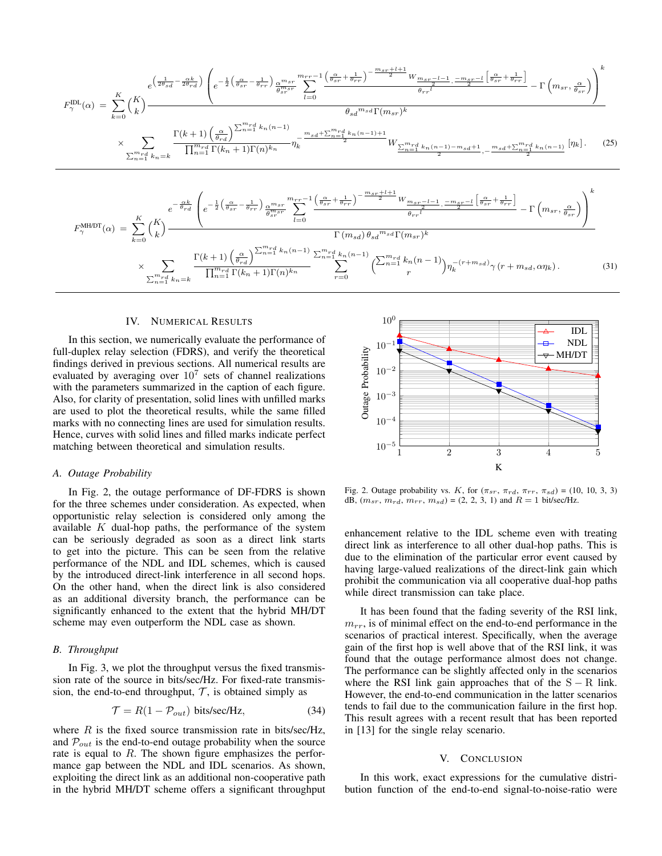$$
F_{\gamma}^{\text{ILL}}(\alpha) = \sum_{k=0}^{K} {K \choose k} - \frac{e^{\left(\frac{1}{2\theta_{sd}} - \frac{\alpha k}{2\theta_{rd}}\right)} \left(e^{-\frac{1}{2}\left(\frac{\alpha}{\theta_{sr}} - \frac{1}{\theta_{rr}}\right)} \frac{\alpha^{m_{sr}}}{\theta^{m_{sr}}}} \sum_{l=0}^{m_{sr}r-1} \frac{\left(\frac{\alpha}{\theta_{sr}} + \frac{1}{\theta_{rr}}\right)^{-\frac{m_{sr}+l+1}{2}} W_{\frac{m_{sr}r-l-1}{2}, \frac{-m_{sr}-l}{2}} \left[\frac{\alpha}{\theta_{sr}} + \frac{1}{\theta_{rr}}\right]}{\theta_{rr}^{l}} - \Gamma\left(m_{sr}, \frac{\alpha}{\theta_{sr}}\right)\right)^{k}}
$$
\n
$$
\times \sum_{\substack{m_{rd}r \geq 0 \\ \sum_{n=1}^{m_{rd}} k_n = k}} \frac{\Gamma(k+1) \left(\frac{\alpha}{\theta_{rd}}\right)^{\sum_{n=1}^{m_{rd}} k_n (n-1)}}{\prod_{n=1}^{m_{rd}} \Gamma(k_n+1) \Gamma(n)^{k_n}} \eta_k^{-\frac{m_{sd} + \sum_{n=1}^{m_{rd}} k_n (n-1) + 1}{2} W_{\frac{\sum_{n=1}^{m_{rd}} k_n (n-1) - m_{sd} + 1}{2}, \frac{m_{sd} + \sum_{n=1}^{m_{rd}} k_n (n-1)}{2} \left[n_k\right]}.
$$
\n(25)

$$
F_{\gamma}^{\text{MHDDT}}(\alpha) = \sum_{k=0}^{K} {K \choose k} \frac{e^{-\frac{\alpha k}{\theta_{rd}}} \left(e^{-\frac{1}{2} \left(\frac{\alpha}{\theta_{sr}} - \frac{1}{\theta_{rr}}\right)} \frac{\alpha^{m_{sr}}}{\theta_{sr}^{m_{sr}}} \sum_{l=0}^{mr_{r}-1} \frac{\left(\frac{\alpha}{\theta_{sr}} + \frac{1}{\theta_{rr}}\right)^{-\frac{m_{sr}+l+1}{2}} W_{\frac{m_{sr}-l-1}{2}, \frac{-m_{sr}-l}{2}} \left[\frac{\alpha}{\theta_{sr}} + \frac{1}{\theta_{rr}}\right]}{\theta_{rr}^{l}} - \Gamma\left(m_{sr}, \frac{\alpha}{\theta_{sr}}\right)\right)^{k}}
$$
\n
$$
\times \sum_{n=1}^{m_{rd}} \sum_{k=0}^{K} \frac{\Gamma(k+1) \left(\frac{\alpha}{\theta_{rd}}\right)^{\sum_{n=1}^{m_{rd}} k_{n}(n-1)} \sum_{n=1}^{m_{rd}} k_{n}(n-1)}{\prod_{n=1}^{m_{rd}} \Gamma(k_{n}+1) \Gamma(n)^{k_{n}}} \sum_{r=0}^{m_{rd}} \left(\sum_{n=1}^{m_{rd}} k_{n}(n-1)\right) \eta_{k}^{-(r+m_{sd})} \gamma\left(r+m_{sd}, \alpha \eta_{k}\right). \tag{31}
$$

## IV. NUMERICAL RESULTS

In this section, we numerically evaluate the performance of full-duplex relay selection (FDRS), and verify the theoretical findings derived in previous sections. All numerical results are evaluated by averaging over  $10^7$  sets of channel realizations with the parameters summarized in the caption of each figure. Also, for clarity of presentation, solid lines with unfilled marks are used to plot the theoretical results, while the same filled marks with no connecting lines are used for simulation results. Hence, curves with solid lines and filled marks indicate perfect matching between theoretical and simulation results.

## *A. Outage Probability*

In Fig. 2, the outage performance of DF-FDRS is shown for the three schemes under consideration. As expected, when opportunistic relay selection is considered only among the available  $K$  dual-hop paths, the performance of the system can be seriously degraded as soon as a direct link starts to get into the picture. This can be seen from the relative performance of the NDL and IDL schemes, which is caused by the introduced direct-link interference in all second hops. On the other hand, when the direct link is also considered as an additional diversity branch, the performance can be significantly enhanced to the extent that the hybrid MH/DT scheme may even outperform the NDL case as shown.

#### *B. Throughput*

In Fig. 3, we plot the throughput versus the fixed transmission rate of the source in bits/sec/Hz. For fixed-rate transmission, the end-to-end throughput,  $\mathcal{T}$ , is obtained simply as

$$
\mathcal{T} = R(1 - \mathcal{P}_{out}) \text{ bits/sec/Hz},\tag{34}
$$

where  $R$  is the fixed source transmission rate in bits/sec/Hz, and  $P_{out}$  is the end-to-end outage probability when the source rate is equal to  $R$ . The shown figure emphasizes the performance gap between the NDL and IDL scenarios. As shown, exploiting the direct link as an additional non-cooperative path in the hybrid MH/DT scheme offers a significant throughput



Fig. 2. Outage probability vs. K, for  $(\pi_{sr}, \pi_{rd}, \pi_{rr}, \pi_{sd}) = (10, 10, 3, 3)$ dB,  $(m_{sr}, m_{rd}, m_{rr}, m_{sd}) = (2, 2, 3, 1)$  and  $R = 1$  bit/sec/Hz.

enhancement relative to the IDL scheme even with treating direct link as interference to all other dual-hop paths. This is due to the elimination of the particular error event caused by having large-valued realizations of the direct-link gain which prohibit the communication via all cooperative dual-hop paths while direct transmission can take place.

It has been found that the fading severity of the RSI link,  $m_{rr}$ , is of minimal effect on the end-to-end performance in the scenarios of practical interest. Specifically, when the average gain of the first hop is well above that of the RSI link, it was found that the outage performance almost does not change. The performance can be slightly affected only in the scenarios where the RSI link gain approaches that of the  $S - R$  link. However, the end-to-end communication in the latter scenarios tends to fail due to the communication failure in the first hop. This result agrees with a recent result that has been reported in [13] for the single relay scenario.

#### V. CONCLUSION

In this work, exact expressions for the cumulative distribution function of the end-to-end signal-to-noise-ratio were